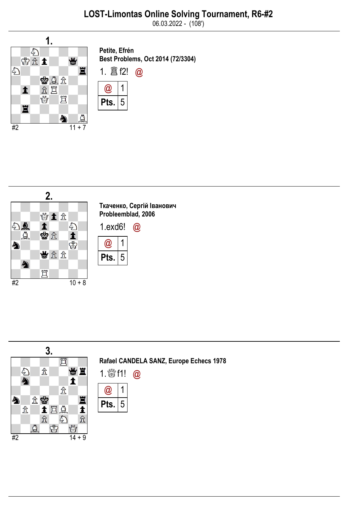

Petite, Efrén Best Problems, Oct 2014 (72/3304)



1

5



3. Rafael CANDELA SANZ, Europe Echecs 1978 買 曾直  $\mathcal{E}_{\sum}$  $\hat{\mathbb{E}}$ 1. \$f1! @  $\blacktriangle$ 小 1  $\hat{\mathbb{E}}$ @ Ħ 金蜜  $\clubsuit$ 5Pts.  $\mathcal{\hat{R}}$ 土耳鼻  $\blacktriangle$  $\sum_{i=1}^{n}$  $\hat{\mathcal{I}}$  $\mathbb{\hat{X}}$  $\begin{array}{c}\n\textcircled{2} & \textcircled{2} & \textcircled{2} \\
\textcircled{3} & \textcircled{3} & \textcircled{1} \\
\textcircled{4} & 14 + 9\n\end{array}$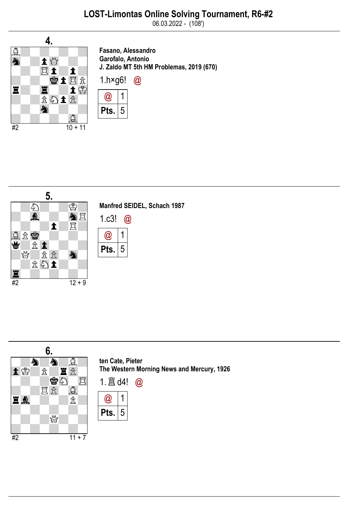

Fasano, Alessandro Garofalo, Antonio J. Zaldo MT 5th HM Problemas, 2019 (670)





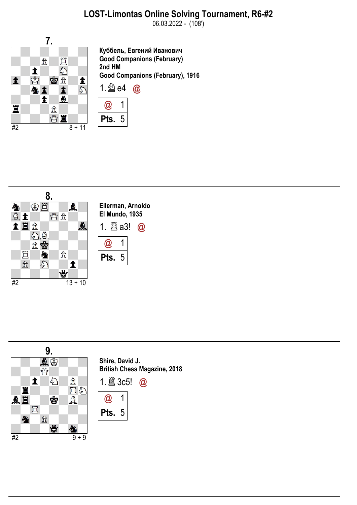

Куббель, Евгений Иванович Good Companions (February) 2nd HM Good Companions (February), 1916 1.  $\hat{\triangle}$  e4  $\omega$ 







Shire, David J. British Chess Magazine, 2018

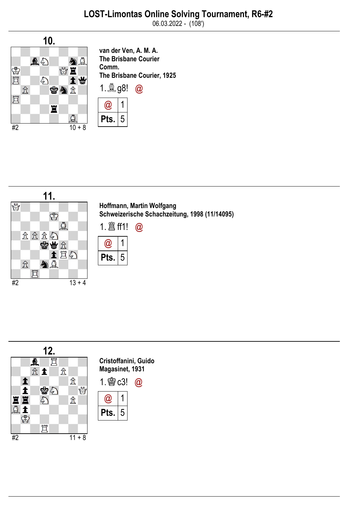

van der Ven, A. M. A. The Brisbane Courier Comm. The Brisbane Courier, 1925 1. $Q_{.}$ g8!  $Q_{.}$ @ 1

Pts.

5



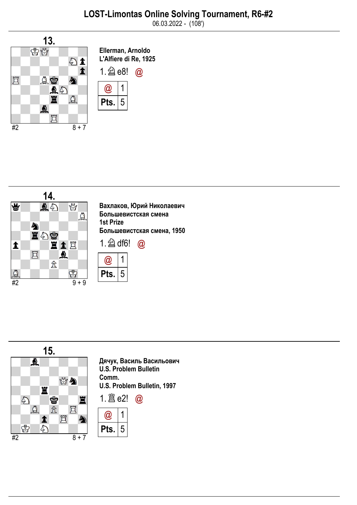





Дячук, Василь Васильович U.S. Problem Bulletin U.S. Problem Bulletin, 1997

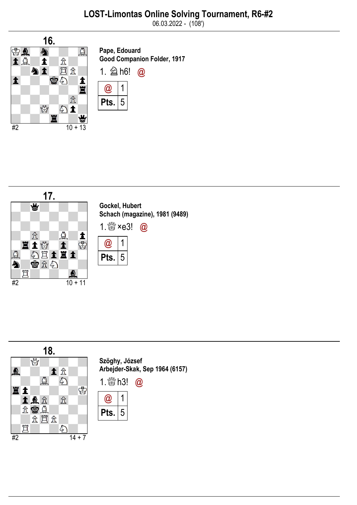

Pape, Edouard Good Companion Folder, 1917





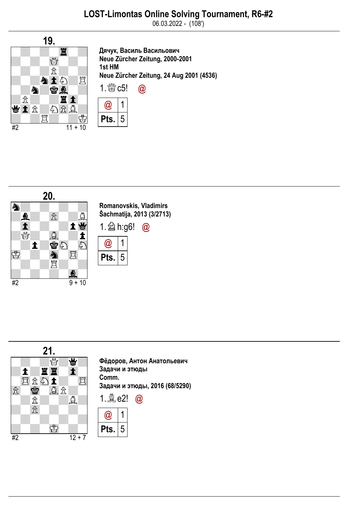

Дячук, Василь Васильович Neue Zürcher Zeitung, 2000-2001 1st HM Neue Zürcher Zeitung, 24 Aug 2001 (4536)







Фёдоров, Антон Анатольевич Задачи и этюды Задачи и этюды, 2016 (68/5290)